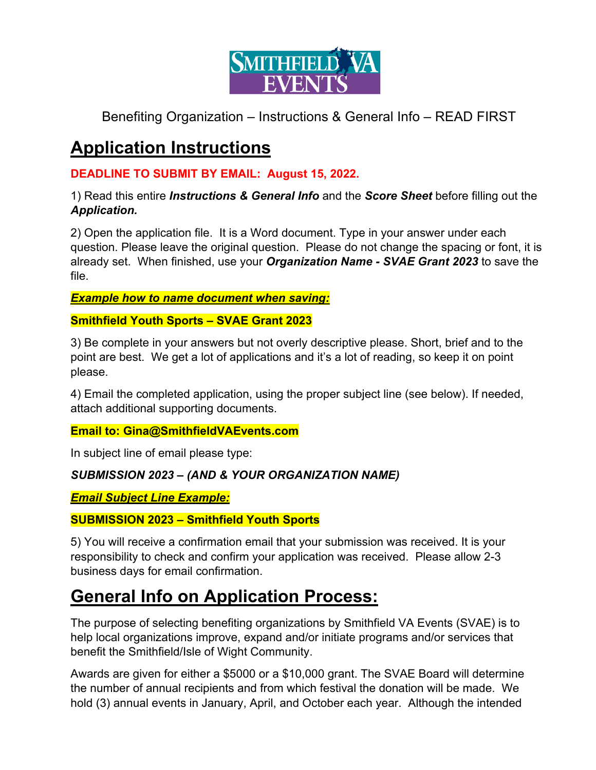

# **Application Instructions**

#### **DEADLINE TO SUBMIT BY EMAIL: August 15, 2022.**

#### 1) Read this entire *Instructions & General Info* and the *Score Sheet* before filling out the *Application.*

2) Open the application file. It is a Word document. Type in your answer under each question. Please leave the original question. Please do not change the spacing or font, it is already set. When finished, use your *Organization Name - SVAE Grant 2023* to save the file.

*Example how to name document when saving:* 

#### **Smithfield Youth Sports – SVAE Grant 2023**

3) Be complete in your answers but not overly descriptive please. Short, brief and to the point are best. We get a lot of applications and it's a lot of reading, so keep it on point please.

4) Email the completed application, using the proper subject line (see below). If needed, attach additional supporting documents.

#### **Email to: Gina@SmithfieldVAEvents.com**

In subject line of email please type:

#### *SUBMISSION 2023 – (AND & YOUR ORGANIZATION NAME)*

#### *Email Subject Line Example:*

#### **SUBMISSION 2023 – Smithfield Youth Sports**

5) You will receive a confirmation email that your submission was received. It is your responsibility to check and confirm your application was received. Please allow 2-3 business days for email confirmation.

### **General Info on Application Process:**

The purpose of selecting benefiting organizations by Smithfield VA Events (SVAE) is to help local organizations improve, expand and/or initiate programs and/or services that benefit the Smithfield/Isle of Wight Community.

Awards are given for either a \$5000 or a \$10,000 grant. The SVAE Board will determine the number of annual recipients and from which festival the donation will be made. We hold (3) annual events in January, April, and October each year. Although the intended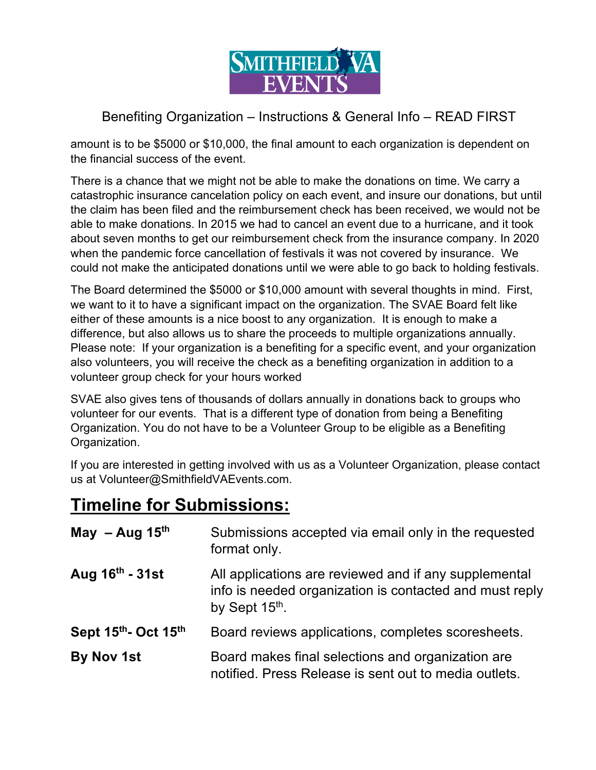

amount is to be \$5000 or \$10,000, the final amount to each organization is dependent on the financial success of the event.

There is a chance that we might not be able to make the donations on time. We carry a catastrophic insurance cancelation policy on each event, and insure our donations, but until the claim has been filed and the reimbursement check has been received, we would not be able to make donations. In 2015 we had to cancel an event due to a hurricane, and it took about seven months to get our reimbursement check from the insurance company. In 2020 when the pandemic force cancellation of festivals it was not covered by insurance. We could not make the anticipated donations until we were able to go back to holding festivals.

The Board determined the \$5000 or \$10,000 amount with several thoughts in mind. First, we want to it to have a significant impact on the organization. The SVAE Board felt like either of these amounts is a nice boost to any organization. It is enough to make a difference, but also allows us to share the proceeds to multiple organizations annually. Please note: If your organization is a benefiting for a specific event, and your organization also volunteers, you will receive the check as a benefiting organization in addition to a volunteer group check for your hours worked

SVAE also gives tens of thousands of dollars annually in donations back to groups who volunteer for our events. That is a different type of donation from being a Benefiting Organization. You do not have to be a Volunteer Group to be eligible as a Benefiting Organization.

If you are interested in getting involved with us as a Volunteer Organization, please contact us at Volunteer@SmithfieldVAEvents.com.

### **Timeline for Submissions:**

| May $-$ Aug 15 <sup>th</sup> | Submissions accepted via email only in the requested<br>format only.                                                                           |
|------------------------------|------------------------------------------------------------------------------------------------------------------------------------------------|
| Aug $16th$ - 31st            | All applications are reviewed and if any supplemental<br>info is needed organization is contacted and must reply<br>by Sept 15 <sup>th</sup> . |
| Sept 15th - Oct 15th         | Board reviews applications, completes scoresheets.                                                                                             |
| By Nov 1st                   | Board makes final selections and organization are<br>notified. Press Release is sent out to media outlets.                                     |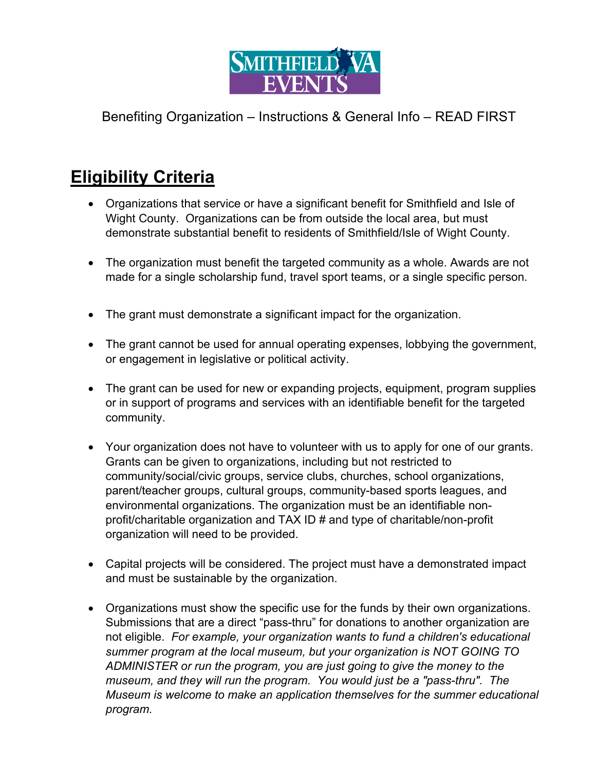

# **Eligibility Criteria**

- Organizations that service or have a significant benefit for Smithfield and Isle of Wight County. Organizations can be from outside the local area, but must demonstrate substantial benefit to residents of Smithfield/Isle of Wight County.
- The organization must benefit the targeted community as a whole. Awards are not made for a single scholarship fund, travel sport teams, or a single specific person.
- The grant must demonstrate a significant impact for the organization.
- The grant cannot be used for annual operating expenses, lobbying the government, or engagement in legislative or political activity.
- The grant can be used for new or expanding projects, equipment, program supplies or in support of programs and services with an identifiable benefit for the targeted community.
- Your organization does not have to volunteer with us to apply for one of our grants. Grants can be given to organizations, including but not restricted to community/social/civic groups, service clubs, churches, school organizations, parent/teacher groups, cultural groups, community-based sports leagues, and environmental organizations. The organization must be an identifiable nonprofit/charitable organization and TAX ID # and type of charitable/non-profit organization will need to be provided.
- Capital projects will be considered. The project must have a demonstrated impact and must be sustainable by the organization.
- Organizations must show the specific use for the funds by their own organizations. Submissions that are a direct "pass-thru" for donations to another organization are not eligible. *For example, your organization wants to fund a children's educational summer program at the local museum, but your organization is NOT GOING TO ADMINISTER or run the program, you are just going to give the money to the museum, and they will run the program. You would just be a "pass-thru". The Museum is welcome to make an application themselves for the summer educational program.*